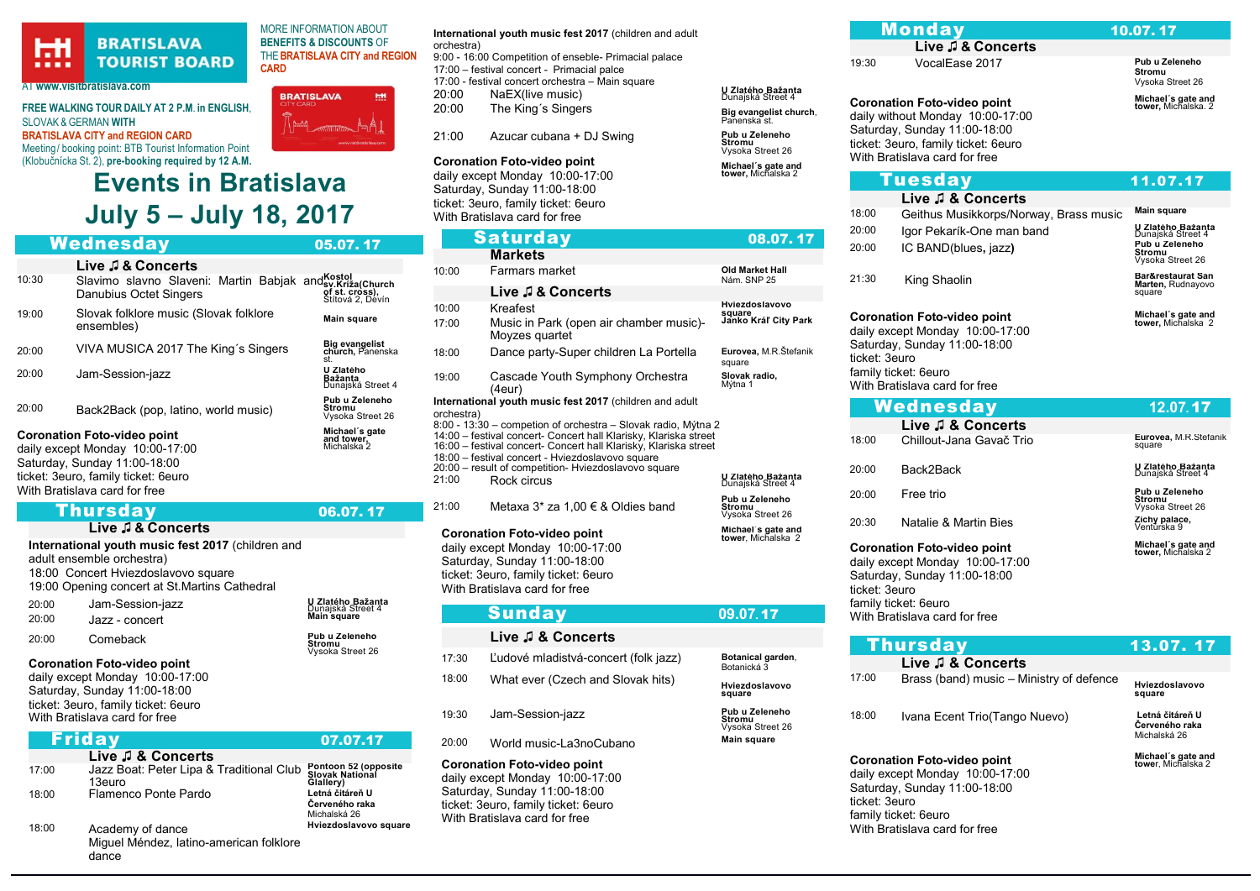#### **BRATISLAVA PLA TOURIST BOARD** . . . .

### AT www.visitbratislava.com

FREE WALKING TOUR DAILY AT 2 P.M. in ENGLISH, SLOVAK & GERMAN WITH BRATISLAVA CITY and REGION CARD Meeting/ booking point: BTB Tourist Information Point (Klobučnícka St. 2), pre-booking required by 12 A.M.

## Events in Bratislava July 5 – July 18, 2017

**CARD** 

|       | Wednesday                                                                                                                                                                     | 05.07.17                                     |
|-------|-------------------------------------------------------------------------------------------------------------------------------------------------------------------------------|----------------------------------------------|
|       | Live J & Concerts                                                                                                                                                             |                                              |
| 10:30 | Slavimo slavno Slaveni: Martin Babjak and Sy.Križa(Church<br>Danubius Octet Singers                                                                                           | of st. cròss),<br>Stítová 2, Devín           |
| 19:00 | Slovak folklore music (Slovak folklore<br>ensembles)                                                                                                                          | Main square                                  |
| 20:00 | VIVA MUSICA 2017 The King's Singers                                                                                                                                           | Big evangelist<br>church, Panenska<br>st.    |
| 20:00 | Jam-Session-jazz                                                                                                                                                              | U Zlatého<br>Bažanta<br>Dünajská Street 4    |
| 20:00 | Back2Back (pop, latino, world music)                                                                                                                                          | Pub u Zeleneho<br>Stromu<br>Vysoka Street 26 |
|       | <b>Coronation Foto-video point</b><br>daily except Monday 10:00-17:00<br>Saturday, Sunday 11:00-18:00<br>ticket: 3euro, family ticket: 6euro<br>With Bratislava card for free | Michael's gate<br>and tower,<br>Michalska 2  |

#### Thursday 06.07. 17 Live do Concerto

| LIVE JE U VUIIVEI LJ                              |
|---------------------------------------------------|
| International youth music fest 2017 (children and |
| adult ensemble orchestra)                         |
| 18:00 Concert Hviezdoslavovo square               |
| 19:00 Opening concert at St. Martins Cathedral    |

|       | <b>Coronation Foto-video point</b> |                                               |
|-------|------------------------------------|-----------------------------------------------|
| 20:00 | Comeback                           | Pub u Zeleneho<br>Stromu<br>Vysoka Street 26  |
| 20:00 | Jazz - concert                     | Main square                                   |
| 20:00 | Jam-Session-jazz                   | <b>U Zlatého Bažanta</b><br>Dunajská Street 4 |

## daily except Monday 10:00-17:00 Saturday, Sunday 11:00-18:00 ticket: 3euro, family ticket: 6euro

With Bratislava card for free

| Friday |                                                                      | 07.07.17                                             |
|--------|----------------------------------------------------------------------|------------------------------------------------------|
|        | Live J & Concerts                                                    |                                                      |
| 17:00  | Jazz Boat: Peter Lipa & Traditional Club<br>13euro                   | Pontoon 52 (opposite<br>Slovak National<br>Glallery) |
| 18:00  | Flamenco Ponte Pardo                                                 | Letná čitáreň U<br>Červeného raka<br>Michalská 26    |
| 18:00  | Academy of dance<br>Miquel Méndez, latino-american folklore<br>dance | Hviezdoslavovo square                                |

MORE INFORMATION ABOUT BENEFITS & DISCOUNTS OF THE BRATISLAVA CITY and REGION International youth music fest 2017 (children and adult

# **BRATISLAVA EH**

orchestra) 9:00 - 16:00 Competition of enseble- Primacial palace 17:00 – festival concert - Primacial palce 17:00 - festival concert orchestra – Main square

- 20:00 NaEX(live music)<br>20:00 The King's Singer
- The King's Singers Big evangelist
- $21:00$  Azucar cubana + DJ Swing  $Pub$  u Zeleneho

## Coronation Foto-video point

daily except Monday 10:00-17:00 Saturday, Sunday 11:00-18:00 ticket: 3euro, family ticket: 6euro With Bratislava card for free

## Saturday 08.07 **Markets** 10:00 Farmars market **Constanting Community** Old Market Hall Nám. SNP 25 Live ♫ & Concerts 10:00 Kreafest Hviezdoslavovo square Janko Kráľ City Park 17:00 Music in Park (open air chamber music)- Moyzes quartet 18:00 Dance party-Super children La Portella Eurovea, M.R.Štefanik square 19:00 Cascade Youth Symphony Orchestra (4eur) **Slovak radio,**<br>Mýtna 1 International youth music fest 2017 (children and adult orchestra) 8:00 - 13:30 – competion of orchestra – Slovak radio, Mýtna 2 14:00 – festival concert- Concert hall Klarisky, Klariska street 16:00 – festival concert- Concert hall Klarisky, Klariska street 18:00 – festival concert - Hviezdoslavovo square 20:00 – result of competition- Hviezdoslavovo square 21:00 Rock circus <sup>U</sup> Zlatého Bažanta Dunajská Street 4 21:00 Metaxa  $3^*$  za 1,00  $\in$  & Oldies band Pub u Zeleneho **Stromu**<br>Vysoka Street 26 Coronation Foto-video point daily except Monday 10:00-17:00 Michael´s gate and tower, Michalska 2

Saturday, Sunday 11:00-18:00 ticket: 3euro, family ticket: 6euro With Bratislava card for free

|       | <b>Sunday</b>                        | 09.07.17                                            |
|-------|--------------------------------------|-----------------------------------------------------|
|       | Live J & Concerts                    |                                                     |
| 17:30 | Ľudové mladistvá-concert (folk jazz) | Botanical garden,<br>Botanická 3                    |
| 18:00 | What ever (Czech and Slovak hits)    | Hviezdoslavovo<br>square                            |
| 19:30 | Jam-Session-jazz                     | Pub u Zeleneho<br><b>Stromu</b><br>Vysoka Street 26 |
| 20:00 | World music-La3noCubano              | <b>Main square</b>                                  |

Coronation Foto-video point daily except Monday 10:00-17:00 Saturday, Sunday 11:00-18:00 ticket: 3euro, family ticket: 6euro With Bratislava card for free

|                                                  |       | <b>Monday</b>                                                                                        | 10.07.17                                         |
|--------------------------------------------------|-------|------------------------------------------------------------------------------------------------------|--------------------------------------------------|
|                                                  |       | Live J & Concerts                                                                                    |                                                  |
|                                                  | 19:30 | VocalEase 2017                                                                                       | Pub u Zeleneho<br>Stromu<br>Vysoka Street 26     |
| U Zlatého Bažanta<br>Dunajská Street 4           |       | <b>Coronation Foto-video point</b>                                                                   | Michael's gate and                               |
| Big evangelist church,<br>Panenska st.           |       | daily without Monday 10:00-17:00                                                                     | tower, Michalska. 2                              |
| Pub u Zeleneho<br>Stromu<br>Vysoka Street 26     |       | Saturday, Sunday 11:00-18:00<br>ticket: 3euro, family ticket: 6euro<br>With Bratislava card for free |                                                  |
| Michael's gate and<br>tower, Michalska 2         |       | <b>Tuesday</b>                                                                                       | 11.07.17                                         |
|                                                  |       | Live J & Concerts                                                                                    |                                                  |
|                                                  | 18:00 | Geithus Musikkorps/Norway, Brass music                                                               | Main square                                      |
|                                                  | 20:00 | Igor Pekarík-One man band                                                                            | <b>U Zlatého Bažanta</b><br>Dunajská Street 4    |
| 08.07.17                                         | 20:00 | IC BAND(blues, jazz)                                                                                 | Pub u Zeleneho<br>Stromu<br>Vysoka Street 26     |
| <b>Old Market Hall</b><br>Nám. SNP 25            | 21:30 | King Shaolin                                                                                         | Bar&restaurat San<br>Marten, Rudnayovo<br>square |
| Hviezdoslavovo<br>square<br>Janko Kráľ City Park |       | <b>Coronation Foto-video point</b>                                                                   | Michael´s gate and<br>tower, Michalska 2         |

Coronation Foto-video point daily except Monday 10:00-17:00 Saturday, Sunday 11:00-18:00 ticket: 3euro family ticket: 6euro With Bratislava card for free

|               | Wednesday                                                                                                                                                      | 12.07.17                                        |
|---------------|----------------------------------------------------------------------------------------------------------------------------------------------------------------|-------------------------------------------------|
|               | Live J & Concerts                                                                                                                                              |                                                 |
| 18:00         | Chillout-Jana Gavač Trio                                                                                                                                       | Eurovea, M.R.Stefanik<br>square                 |
| 20:00         | Back2Back                                                                                                                                                      | U Zlatého Bažanta<br>Dunajská Street 4          |
| 20:00         | Free trio                                                                                                                                                      | Pub u Zeleneho<br>Stromu<br>Vysoka Street 26    |
| 20:30         | Natalie & Martin Bies                                                                                                                                          | Zichy palace,<br>Ventúrska 9                    |
| ticket: 3euro | <b>Coronation Foto-video point</b><br>daily except Monday 10:00-17:00<br>Saturday, Sunday 11:00-18:00<br>family ticket: 6euro<br>With Bratislava card for free | Michael's gate and<br><b>tower,</b> Michalska 2 |
|               |                                                                                                                                                                |                                                 |

|       | <u>Thursday</u>                          | 13.07.17                                          |
|-------|------------------------------------------|---------------------------------------------------|
|       | Live J & Concerts                        |                                                   |
| 17:00 | Brass (band) music – Ministry of defence | Hviezdoslavovo<br>square                          |
| 18:00 | Ivana Ecent Trio (Tango Nuevo)           | Letná čitáreň U<br>Červeného raka<br>Michalská 26 |
|       | <b>Coronation Foto-video point</b>       | Michael's gate and<br>tower, Michalska 2          |

daily except Monday 10:00-17:00 Saturday, Sunday 11:00-18:00 ticket: 3euro family ticket: 6euro With Bratislava card for free